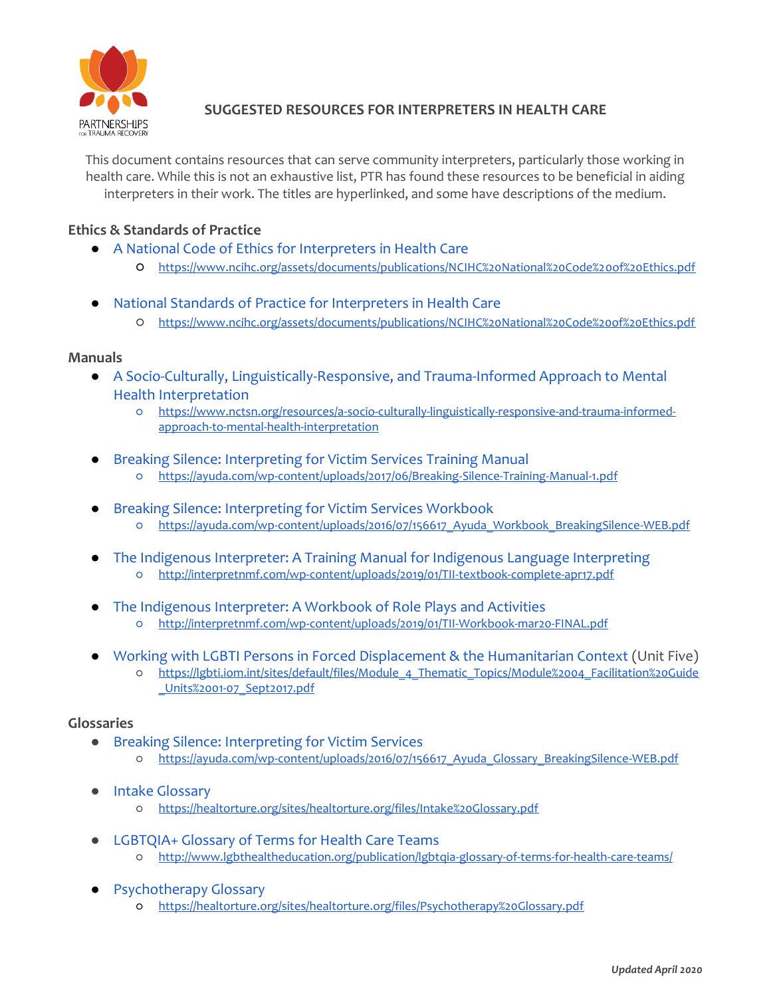

# **SUGGESTED RESOURCES FOR INTERPRETERS IN HEALTH CARE**

This document contains resources that can serve community interpreters, particularly those working in health care. While this is not an exhaustive list, PTR has found these resources to be beneficial in aiding interpreters in their work. The titles are hyperlinked, and some have descriptions of the medium.

# **Ethics & Standards of Practice**

- [A National Code of Ethics for Interpreters in Health Care](https://www.ncihc.org/assets/documents/publications/NCIHC%20National%20Code%20of%20Ethics.pdf)
	- <https://www.ncihc.org/assets/documents/publications/NCIHC%20National%20Code%20of%20Ethics.pdf>
- [National Standards of Practice for Interpreters in Health Care](https://www.ncihc.org/assets/documents/publications/NCIHC%20National%20Standards%20of%20Practice.pdf)
	- <https://www.ncihc.org/assets/documents/publications/NCIHC%20National%20Code%20of%20Ethics.pdf>

#### **Manuals**

- [A Socio-Culturally, Linguistically-Responsive, and Trauma-Informed Approach to Mental](https://www.nctsn.org/resources/a-socio-culturally-linguistically-responsive-and-trauma-informed-approach-to-mental-health-interpretation)  [Health Interpretation](https://www.nctsn.org/resources/a-socio-culturally-linguistically-responsive-and-trauma-informed-approach-to-mental-health-interpretation)
	- [https://www.nctsn.org/resources/a-socio-culturally-linguistically-responsive-and-trauma-informed](https://www.nctsn.org/resources/a-socio-culturally-linguistically-responsive-and-trauma-informed-approach-to-mental-health-interpretation)[approach-to-mental-health-interpretation](https://www.nctsn.org/resources/a-socio-culturally-linguistically-responsive-and-trauma-informed-approach-to-mental-health-interpretation)
- **[Breaking Silence: Interpreting for Victim Services](https://ayuda.com/wp-content/uploads/2017/06/Breaking-Silence-Training-Manual-1.pdf) [Training Manual](https://ayuda.com/wp-content/uploads/2017/06/Breaking-Silence-Training-Manual-1.pdf)** 
	- <https://ayuda.com/wp-content/uploads/2017/06/Breaking-Silence-Training-Manual-1.pdf>
- [Breaking Silence: Interpreting for Victim Services Workbook](https://ayuda.com/wp-content/uploads/2016/07/156617_Ayuda_Workbook_BreakingSilence-WEB.pdf)
	- o https://ayuda.com/wp-content/uploads/2016/07/156617 Ayuda Workbook BreakingSilence-WEB.pdf
- [The Indigenous Interpreter: A Training Manual for Indigenous Language Interpreting](http://interpretnmf.com/wp-content/uploads/2019/01/TII-textbook-complete-apr17.pdf) ○ <http://interpretnmf.com/wp-content/uploads/2019/01/TII-textbook-complete-apr17.pdf>
- [The Indigenous Interpreter: A Workbook of Role Plays and Activities](http://interpretnmf.com/wp-content/uploads/2019/01/TII-Workbook-mar20-FINAL.pdf) ○ <http://interpretnmf.com/wp-content/uploads/2019/01/TII-Workbook-mar20-FINAL.pdf>
- [Working with LGBTI Persons in Forced Displacement & the Humanitarian Context](https://lgbti.iom.int/sites/default/files/Module_4_Thematic_Topics/Module%2004_Facilitation%20Guide_Units%2001-07_Sept2017.pdf) (Unit Five)
	- [https://lgbti.iom.int/sites/default/files/Module\\_4\\_Thematic\\_Topics/Module%2004\\_Facilitation%20Guide](https://lgbti.iom.int/sites/default/files/Module_4_Thematic_Topics/Module%2004_Facilitation%20Guide_Units%2001-07_Sept2017.pdf) [\\_Units%2001-07\\_Sept2017.pdf](https://lgbti.iom.int/sites/default/files/Module_4_Thematic_Topics/Module%2004_Facilitation%20Guide_Units%2001-07_Sept2017.pdf)

### **Glossaries**

- [Breaking Silence: Interpreting for Victim Services](https://ayuda.com/wp-content/uploads/2016/07/156617_Ayuda_Glossary_BreakingSilence-WEB.pdf)
	- [https://ayuda.com/wp-content/uploads/2016/07/156617\\_Ayuda\\_Glossary\\_BreakingSilence-WEB.pdf](https://ayuda.com/wp-content/uploads/2016/07/156617_Ayuda_Glossary_BreakingSilence-WEB.pdf)
- **[Intake Glossary](https://healtorture.org/sites/healtorture.org/files/Intake%20Glossary.pdf)** 
	- <https://healtorture.org/sites/healtorture.org/files/Intake%20Glossary.pdf>
- **[LGBTQIA+ Glossary of Terms for Health Care Teams](http://www.lgbthealtheducation.org/publication/lgbtqia-glossary-of-terms-for-health-care-teams/)** ○ <http://www.lgbthealtheducation.org/publication/lgbtqia-glossary-of-terms-for-health-care-teams/>
- [Psychotherapy Glossary](https://healtorture.org/sites/healtorture.org/files/Psychotherapy%20Glossary.pdf) ○ <https://healtorture.org/sites/healtorture.org/files/Psychotherapy%20Glossary.pdf>